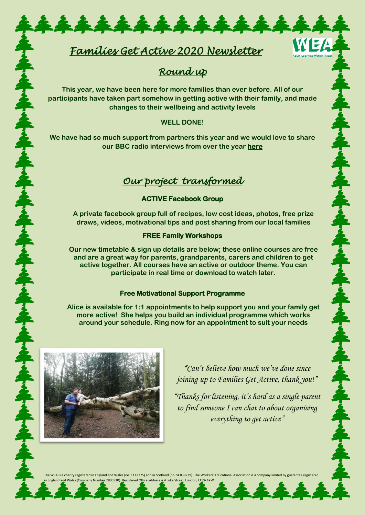# *Families Get Active 2020 Newsletter*

\*\*\*\*\*\*\*\*\*\*\*\*\*\*

## *Round up*

WEA

本を本を全て全て全て全て全て全て

えずるよう

ネネネ

奉奉

**This year, we have been here for more families than ever before. All of our participants have taken part somehow in getting active with their family, and made changes to their wellbeing and activity levels**

#### **WELL DONE!**

**We have had so much support from partners this year and we would love to share our BBC radio interviews from over the year [here](https://www.youtube.com/watch?v=50cUaZveHVg)** 

### *Our project transformed*

#### **ACTIVE Facebook Group**

**A private [facebook](file:///C:/Users/User/AppData/Local/Microsoft/Windows/INetCache/Content.Outlook/8PLM9J6O/facebook) group full of recipes, low cost ideas, photos, free prize draws, videos, motivational tips and post sharing from our local families** 

#### **FREE Family Workshops**

**Our new timetable & sign up details are below; these online courses are free and are a great way for parents, grandparents, carers and children to get active together. All courses have an active or outdoor theme. You can participate in real time or download to watch later.**

#### **Free Motivational Support Programme**

**Alice is available for 1:1 appointments to help support you and your family get more active! She helps you build an individual programme which works around your schedule. Ring now for an appointment to suit your needs**



今日本は今日本は今日本は今日本は今日

*"Can't believe how much we've done since joining up to Families Get Active, thank you!"*

*"Thanks for listening, it's hard as a single parent to find someone I can chat to about organising everything to get active"*

The WEA is a charity registered in England and Wales (no. 1112775) and in Scotland (no. SC039239). The Workers' Educational Association is a comp in England and Wales (Company Number 2806910). <u>R</u>egistered Office address i<u>s</u> 4 Luke Street, London, EC2A 4XW.